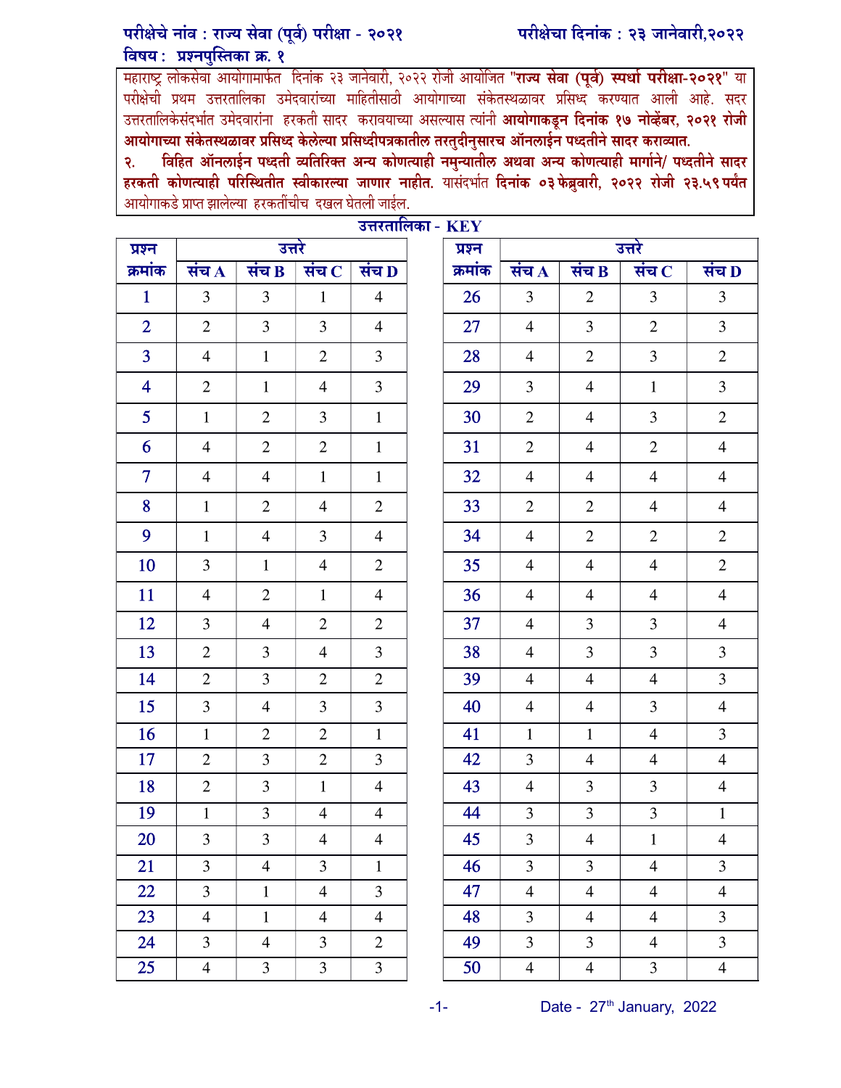## परीक्षेचे नांव : राज्य सेवा (पूर्व) परीक्षा - २०२१ विषय: प्रश्नपुस्तिका क्र. १

महाराष्ट्र लोकसेवा आयोगामार्फत दिनांक २३ जानेवारी, २०२२ रोजी आयोजित "**राज्य सेवा (पूर्व) स्पर्धा परीक्षा-२०२१**" या परीक्षेची प्रथम उत्तरतालिका उमेदवारांच्या माहितीसाठी आयोगाच्या संकेतस्थळावर प्रसिध्द<sup>े</sup>करण्यात आली आहे. सदर उत्तरतालिकेसंदर्भात उमेदवारांना हरकती सादर करावयाच्या असल्यास त्यांनी **आयोगाकडून दिनांक १७ नोव्हेंबर, २०२१ रोजी** आयोगाच्या संकेतस्थळावर प्रसिध्द केलेल्या प्रसिध्दीपत्रकातील तरतुदीनुसारच ऑनलाईन पध्दतीने सादर कराव्यात.

२. विहित ऑनलाईन पध्दती व्यतिरिक्त अन्य कोणत्याही नमुन्यातील अथवा अन्य कोणत्याही मार्गाने/ पध्दतीने सादर हरकती कोणत्याही परिस्थितीत स्वीकारल्या जाणार नाहीत. यासंदर्भात दिनांक ०३फेब्रुवारी, २०२२ रोजी २३.५९पर्यंत आयोगाकडे प्राप्त झालेल्या हरकतींचीच दखल घेतली जाईल.

| उत्तरतालिका - $\mathbf{KEY}$ |                          |                    |                |                    |        |         |                         |                    |                         |                    |
|------------------------------|--------------------------|--------------------|----------------|--------------------|--------|---------|-------------------------|--------------------|-------------------------|--------------------|
| प्रश्न                       | उत्तरे                   |                    |                | प्रश्न             | उत्तरे |         |                         |                    |                         |                    |
| क्रमांक                      | संच $\overline{{\bf A}}$ | संच $\overline{B}$ | संच $\,$ $\,$  | संच $\overline{D}$ |        | क्रमांक | संच $\overline{A}$      | संच $\overline{B}$ | संच $\,$ $\,$           | संच $\overline{D}$ |
| $\mathbf{1}$                 | 3                        | 3                  | $\mathbf{1}$   | $\overline{4}$     |        | 26      | 3                       | $\overline{2}$     | 3                       | 3                  |
| $\overline{2}$               | $\overline{2}$           | 3                  | $\overline{3}$ | $\overline{4}$     |        | 27      | $\overline{4}$          | 3                  | $\overline{2}$          | 3                  |
| $\overline{3}$               | $\overline{4}$           | $\mathbf{1}$       | $\mathbf{2}$   | 3                  |        | 28      | $\overline{4}$          | $\overline{2}$     | 3                       | $\mathbf{2}$       |
| $\overline{\mathbf{4}}$      | $\overline{2}$           | $\mathbf{1}$       | $\overline{4}$ | 3                  |        | 29      | 3                       | $\overline{4}$     | $\mathbf{1}$            | 3                  |
| 5 <sup>5</sup>               | $\mathbf{1}$             | $\overline{2}$     | $\overline{3}$ | $\mathbf{1}$       |        | 30      | $\mathbf{2}$            | $\overline{4}$     | 3                       | $\overline{2}$     |
| 6                            | $\overline{4}$           | $\overline{2}$     | $\mathbf{2}$   | $\mathbf{1}$       |        | 31      | $\mathbf{2}$            | $\overline{4}$     | $\mathbf{2}$            | $\overline{4}$     |
| $\overline{7}$               | $\overline{4}$           | $\overline{4}$     | $\mathbf{1}$   | $\mathbf{1}$       |        | 32      | $\overline{4}$          | $\overline{4}$     | $\overline{4}$          | $\overline{4}$     |
| 8                            | $\mathbf{1}$             | $\overline{2}$     | $\overline{4}$ | $\overline{2}$     |        | 33      | $\overline{2}$          | $\overline{2}$     | $\overline{4}$          | $\overline{4}$     |
| 9                            | $\mathbf{1}$             | $\overline{4}$     | $\overline{3}$ | $\overline{4}$     |        | 34      | $\overline{4}$          | $\overline{2}$     | $\overline{2}$          | $\overline{2}$     |
| 10                           | 3                        | $\mathbf{1}$       | $\overline{4}$ | $\overline{2}$     |        | 35      | $\overline{4}$          | $\overline{4}$     | $\overline{4}$          | $\overline{2}$     |
| 11                           | $\overline{4}$           | $\overline{2}$     | $\mathbf{1}$   | $\overline{4}$     |        | 36      | $\overline{4}$          | $\overline{4}$     | $\overline{4}$          | $\overline{4}$     |
| 12                           | 3                        | $\overline{4}$     | 2              | $\overline{2}$     |        | 37      | $\overline{4}$          | 3                  | 3                       | $\overline{4}$     |
| 13                           | $\mathbf{2}$             | $\overline{3}$     | $\overline{4}$ | 3                  |        | 38      | $\overline{4}$          | 3                  | 3                       | 3                  |
| 14                           | $\overline{2}$           | $\overline{3}$     | $\overline{2}$ | $\mathbf{2}$       |        | 39      | $\overline{4}$          | $\overline{4}$     | $\overline{4}$          | $\overline{3}$     |
| 15                           | 3                        | $\overline{4}$     | $\overline{3}$ | 3                  |        | 40      | $\overline{4}$          | $\overline{4}$     | 3                       | $\overline{4}$     |
| 16                           | $\mathbf{1}$             | $\overline{2}$     | $\overline{2}$ | $\mathbf{1}$       |        | 41      | $\mathbf{1}$            | $\mathbf{1}$       | $\overline{4}$          | 3                  |
| 17                           | $\mathbf{2}$             | 3                  | $\overline{2}$ | $\mathfrak{Z}$     |        | 42      | 3                       | $\overline{4}$     | $\overline{4}$          | $\overline{4}$     |
| 18                           | $\overline{2}$           | 3                  | $\mathbf{1}$   | $\overline{4}$     |        | 43      | $\overline{4}$          | 3                  | 3                       | $\overline{4}$     |
| 19                           | $\mathbf{1}$             | 3                  | $\overline{4}$ | $\overline{4}$     |        | 44      | 3                       | 3                  | 3                       | $\mathbf 1$        |
| 20                           | 3                        | 3                  | $\overline{4}$ | $\overline{4}$     |        | 45      | $\overline{\mathbf{3}}$ | $\overline{4}$     | $\mathbf{1}$            | 4                  |
| 21                           | $\overline{3}$           | $\overline{4}$     | $\overline{3}$ | $\mathbf{1}$       |        | 46      | 3                       | $\overline{3}$     | $\overline{4}$          | 3                  |
| 22                           | $\overline{3}$           | $\mathbf 1$        | $\overline{4}$ | $\mathfrak{Z}$     |        | 47      | $\overline{\mathbf{4}}$ | $\overline{4}$     | $\overline{4}$          | $\overline{4}$     |
| 23                           | $\overline{4}$           | $\mathbf 1$        | $\overline{4}$ | $\overline{4}$     |        | 48      | 3                       | $\overline{4}$     | $\overline{\mathbf{4}}$ | $\overline{3}$     |
| 24                           | $\overline{3}$           | $\overline{4}$     | $\overline{3}$ | $\overline{2}$     |        | 49      | $\overline{3}$          | $\overline{3}$     | $\overline{4}$          | $\overline{3}$     |
| 25                           | $\overline{4}$           | $\overline{3}$     | $\overline{3}$ | $\overline{3}$     |        | 50      | $\overline{4}$          | $\overline{4}$     | $\overline{3}$          | $\overline{4}$     |

 $-1$ - Date -  $27<sup>th</sup>$  January, 2022